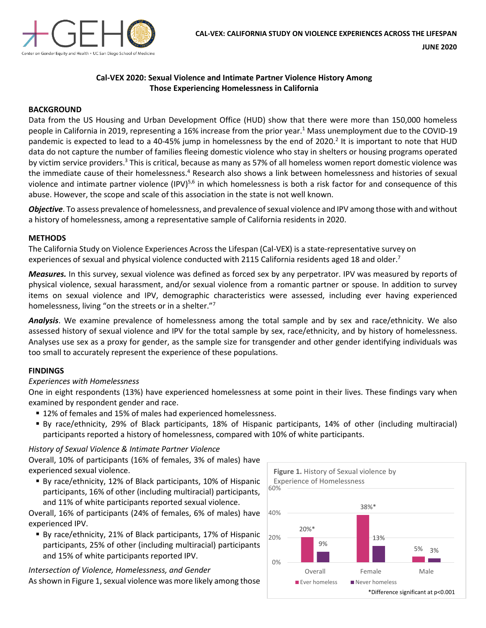

# **Cal-VEX 2020: Sexual Violence and Intimate Partner Violence History Among Those Experiencing Homelessness in California**

## **BACKGROUND**

Data from the US Housing and Urban Development Office (HUD) show that there were more than 150,000 homeless people in California in 2019, representing a 16% increase from the prior year. <sup>1</sup> Mass unemployment due to the COVID-19 pandemic is expected to lead to a 40-45% jump in homelessness by the end of 2020.<sup>2</sup> It is important to note that HUD data do not capture the number of families fleeing domestic violence who stay in shelters or housing programs operated by victim service providers.<sup>3</sup> This is critical, because as many as 57% of all homeless women report domestic violence was the immediate cause of their homelessness.<sup>4</sup> Research also shows a link between homelessness and histories of sexual violence and intimate partner violence  $(IPV)^{5,6}$  in which homelessness is both a risk factor for and consequence of this abuse. However, the scope and scale of this association in the state is not well known.

**Objective**. To assess prevalence of homelessness, and prevalence of sexual violence and IPV among those with and without a history of homelessness, among a representative sample of California residents in 2020.

#### **METHODS**

The California Study on Violence Experiences Across the Lifespan (Cal-VEX) is a state-representative survey on experiences of sexual and physical violence conducted with 2115 California residents aged 18 and older.<sup>7</sup>

*Measures.* In this survey, sexual violence was defined as forced sex by any perpetrator. IPV was measured by reports of physical violence, sexual harassment, and/or sexual violence from a romantic partner or spouse. In addition to survey items on sexual violence and IPV, demographic characteristics were assessed, including ever having experienced homelessness, living "on the streets or in a shelter."<sup>7</sup>

*Analysis*. We examine prevalence of homelessness among the total sample and by sex and race/ethnicity. We also assessed history of sexual violence and IPV for the total sample by sex, race/ethnicity, and by history of homelessness. Analyses use sex as a proxy for gender, as the sample size for transgender and other gender identifying individuals was too small to accurately represent the experience of these populations.

## **FINDINGS**

## *Experiences with Homelessness*

One in eight respondents (13%) have experienced homelessness at some point in their lives. These findings vary when examined by respondent gender and race.

- 12% of females and 15% of males had experienced homelessness.
- By race/ethnicity, 29% of Black participants, 18% of Hispanic participants, 14% of other (including multiracial) participants reported a history of homelessness, compared with 10% of white participants.

## *History of Sexual Violence & Intimate Partner Violence*

Overall, 10% of participants (16% of females, 3% of males) have experienced sexual violence.

 By race/ethnicity, 12% of Black participants, 10% of Hispanic participants, 16% of other (including multiracial) participants, and 11% of white participants reported sexual violence.

Overall, 16% of participants (24% of females, 6% of males) have experienced IPV.

 By race/ethnicity, 21% of Black participants, 17% of Hispanic participants, 25% of other (including multiracial) participants and 15% of white participants reported IPV.

*Intersection of Violence, Homelessness, and Gender* As shown in Figure 1, sexual violence was more likely among those